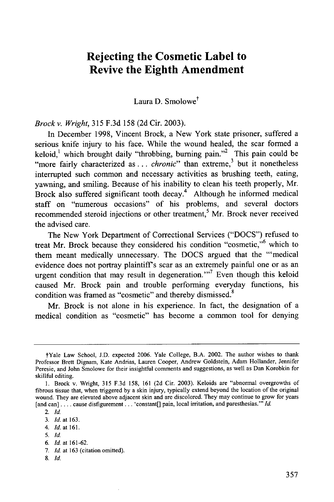# **Rejecting the Cosmetic Label to Revive the Eighth Amendment**

Laura D. Smolowe<sup>†</sup>

*Brock v. Wright,* **315 F.3d 158 (2d** Cir. **2003).**

In December **1998,** Vincent Brock, a New York state prisoner, suffered a serious knife injury to his face. While the wound healed, the scar formed a keloid,<sup>1</sup> which brought daily "throbbing, burning pain."<sup>2</sup> This pain could be "more fairly characterized as ... *chronic*" than extreme,<sup>3</sup> but it nonetheless interrupted such common and necessary activities as brushing teeth, eating, yawning, and smiling. Because of his inability to clean his teeth properly, Mr. Brock also suffered significant tooth decay.<sup>4</sup> Although he informed medical staff on "numerous occasions" of his problems, and several doctors recommended steroid injections or other treatment,<sup>5</sup> Mr. Brock never received the advised care.

The New York Department of Correctional Services ("DOCS") refused to treat Mr. Brock because they considered his condition "cosmetic,"6 which to them meant medically unnecessary. The DOCS argued that the "'medical evidence does not portray plaintiff's scar as an extremely painful one or as an urgent condition that may result in degeneration."<sup> $7$ </sup> Even though this keloid caused Mr. Brock pain and trouble performing everyday functions, his condition was framed as "cosmetic" and thereby dismissed.<sup>8</sup>

Mr. Brock is not alone in his experience. In fact, the designation of a medical condition as "cosmetic" has become a common tool for denying

- 5. *Id.*
- 6. *Id.* at 161-62.

8. *Id.*

tYale Law School, J.D. expected 2006. Yale College, B.A. 2002. The author wishes to thank Professor Brett Dignam, Kate Andrias, Lauren Cooper, Andrew Goldstein, Adam Hollander, Jennifer Peresie, and John Smolowe for their insightful comments and suggestions, as well as Dan Korobkin for skillful editing.

<sup>1.</sup> Brock v. Wright, 315 F.3d 158, 161 (2d Cir. 2003). Keloids are "abnormal overgrowths of fibrous tissue that, when triggered by a skin injury, typically extend beyond the location of the original wound. They are elevated above adjacent skin and are discolored. They may continue to grow for years [and can] .... cause disfigurement. **..** 'constant[] pain, local irritation, and paresthesias."' *Id.*

<sup>2.</sup> **Id.**

<sup>3.</sup> *Id.* at 163.

<sup>4.</sup> *Id.* at **161.**

*<sup>7.</sup> Id.* at 163 (citation omitted).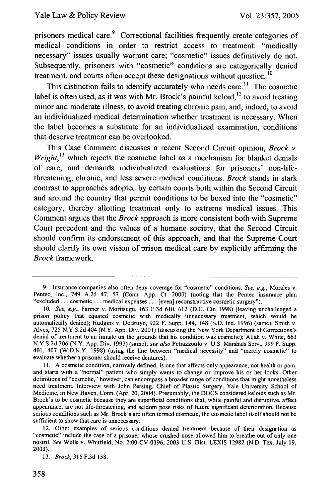prisoners medical care.<sup>9</sup> Correctional facilities frequently create categories of medical conditions in order to restrict access to treatment: "medically necessary" issues usually warrant care; "cosmetic" issues definitively do not. Subsequently, prisoners with "cosmetic" conditions are categorically denied treatment, and courts often accept these designations without question.<sup>10</sup>

This distinction fails to identify accurately who needs care.<sup>11</sup> The cosmetic label is often used, as it was with Mr. Brock's painful keloid,  $^{12}$  to avoid treating minor and moderate illness, to avoid treating chronic pain, and, indeed, to avoid an individualized medical determination whether treatment is necessary. When the label becomes a substitute for an individualized examination, conditions that deserve treatment can be overlooked.

This Case Comment discusses a recent Second Circuit opinion, *Brock v. Wright*,<sup>13</sup> which rejects the cosmetic label as a mechanism for blanket denials of care, and demands individualized evaluations for prisoners' non-lifethreatening, chronic, and less severe medical conditions. *Brock* stands in stark contrast to approaches adopted **by** certain courts both within the Second Circuit and around the country that permit conditions to be boxed into the "cosmetic" category, thereby allotting treatment only to extreme medical issues. This Comment argues that the *Brock* approach is more consistent both with Supreme Court precedent and the values of a humane society, that the Second Circuit should confirm its endorsement of this approach, and that the Supreme Court should clarify its own vision of prison medical care **by** explicitly affirming the *Brock* framework.

12. Other examples of serious conditions denied treatment because of their designation as "cosmetic" include the case of a prisoner whose crushed nose allowed him to breathe out of only one nostril. *See* Wells v. Whitfield, No. 2:00-CV-0396, 2003 U.S. Dist. LEXIS 12982 (N.D. Tex. July 19, 2003).

13. Brock, 315 F.3d 158.

<sup>9.</sup> Insurance companies also often deny coverage for "cosmetic" conditions. *See, e.g.,* Morales v. Pentec, Inc., 749 A.2d 47, 57 (Conn. App. Ct. 2000) (noting that the Pentec insurance plan "excluded... cosmetic... medical expenses... [even] reconstructive cosmetic surgery").

<sup>10.</sup> *See, e.g.,* Farmer v. Moritsugu, 163 F.3d 610, 612 (D.C. Cir. 1998) (leaving unchallenged a prison policy that equated cosmetic with medically unnecessary treatment, which would be automatically denied); Hudgins v. DeBruyn, 922 F. Supp. 144, 148 (S.D. Ind. 1996) (same); Smith v. Alves, 725 N.Y.S.2d 404 (N.Y. App. Div. 2001) (discussing the New York Department of Corrections's denial of treatment to an inmate on the grounds that his condition was cosmetic); Allah v. White, 663 N.Y.S.2d 306 (N.Y. App. Div. 1997) (same); *see also* Petrazzoulo v. U.S. Marshals Serv., 999 F. Supp. 401, 407 (W.D.N.Y. 1998) (using the line between "medical necessity" and "merely cosmetic" to evaluate whether a prisoner should receive dentures).

**<sup>11.</sup>** A cosmetic condition, narrowly defined, is one that affects only appearance, not health or pain, and starts with a "normal" patient who simply wants to change or improve his or her looks. Other definitions of "cosmetic," however, can encompass a broader range of conditions that might nonetheless need treatment. Interview with John Persing, Chief of Plastic Surgery, Yale University School of Medicine, in New Haven, Conn. (Apr. 20, 2004). Presumably, the DOCS considered keloids such as Mr. Brock's to be cosmetic because they are superficial conditions that, while painful and disruptive, affect appearance, are not life-threatening, and seldom pose risks of future significant deterioration. Because serious conditions such as Mr. Brock's are often termed cosmetic, the cosmetic label itself should not be sufficient to show that care is unnecessary.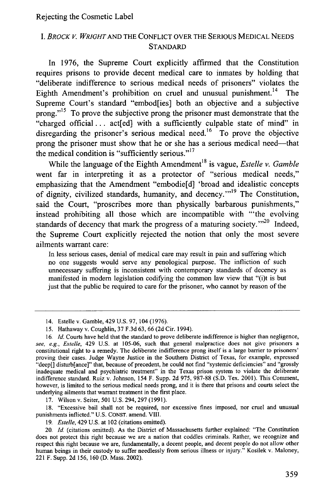## *I. BROCK V. WRIGHT AND* THE CONFLICT OVER THE SERIOUS MEDICAL NEEDS STANDARD

In 1976, the Supreme Court explicitly affirmed that the Constitution requires prisons to provide decent medical care to inmates by holding that "deliberate indifference to serious medical needs of prisoners" violates the Eighth Amendment's prohibition on cruel and unusual punishment.<sup>14</sup> The Supreme Court's standard "embod[ies] both an objective and a subjective prong."<sup>15</sup> To prove the subjective prong the prisoner must demonstrate that the "charged official **...** act[ed] with a sufficiently culpable state of mind" in disregarding the prisoner's serious medical need.<sup>16</sup> To prove the objective prong the prisoner must show that he or she has a serious medical need-that the medical condition is "sufficiently serious."<sup>17</sup>

While the language of the Eighth Amendment<sup>18</sup> is vague, *Estelle v. Gamble* went far in interpreting it as a protector of "serious medical needs," emphasizing that the Amendment "embodie[d] 'broad and idealistic concepts of dignity, civilized standards, humanity, and decency."<sup>19</sup> The Constitution said the Court, "proscribes more than physically barbarous punishments," instead prohibiting all those which are incompatible with "'the evolving standards of decency that mark the progress of a maturing society." $^{20}$  Indeed, the Supreme Court explicitly rejected the notion that only the most severe ailments warrant care:

In less serious cases, denial of medical care may result in pain and suffering which no one suggests would serve any penological purpose. The infliction of such unnecessary suffering is inconsistent with contemporary standards of decency as manifested in modem legislation codifying the common law view that "(i)t is but just that the public be required to care for the prisoner, who cannot by reason of the

17. Wilson v. Seiter, 501 U.S. 294, 297 (1991).

18. "Excessive bail shall not be required, nor excessive fines imposed, nor cruel and unusual punishments inflicted." U.S. CONST. amend. VIII.

19. *Estelle,* 429 U.S. at 102 (citations omitted).

<sup>14.</sup> Estelle v. Gamble, 429 U.S. 97, 104 (1976).

<sup>15.</sup> Hathaway v. Coughlin, 37 F.3d 63, 66 (2d Cir. 1994).

<sup>16.</sup> *Id.* Courts have held that the standard to prove deliberate indifference is higher than negligence, *see, e.g., Estelle,* 429 U.S. at 105-06, such that general malpractice does not give prisoners a constitutional right to a remedy. The deliberate indifference prong itself is a large barrier to prisoners' proving their cases. Judge Wayne Justice in the Southern District of Texas, for example, expressed "deep[] disturb[ance]" that, because of precedent, he could not find "systemic deficiencies" and "grossly inadequate medical and psychiatric treatment" in the Texas prison system to violate the deliberate indifference standard. Ruiz v. Johnson, 154 F. Supp. 2d 975, 987-88 (S.D. Tex. 2001). This Comment, however, is limited to the serious medical needs prong, and it is there that prisons and courts select the underlying ailments that warrant treatment in the first place.

<sup>20.</sup> *Id.* (citations omitted). As the District of Massachusetts further explained: "The Constitution does not protect this right because we are a nation that coddles criminals. Rather, we recognize and respect this right because we are, fundamentally, a decent people, and decent people do not allow other human beings in their custody to suffer needlessly from serious illness or injury." Kosilek v. Maloney, 221 F. Supp. 2d 156, 160 (D. Mass. 2002).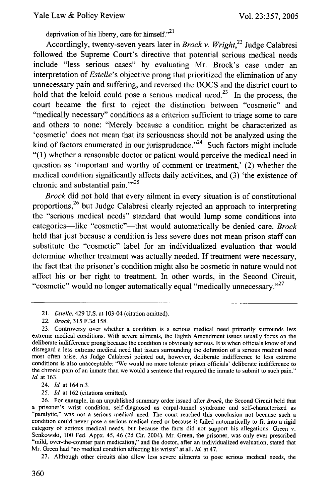deprivation of his liberty, care for himself."<sup>21</sup>

Accordingly, twenty-seven years later in *Brock v. Wright*,<sup>22</sup> Judge Calabresi followed the Supreme Court's directive that potential serious medical needs include "less serious cases" by evaluating Mr. Brock's case under an interpretation of *Estelle's* objective prong that prioritized the elimination of any unnecessary pain and suffering, and reversed the DOCS and the district court to hold that the keloid could pose a serious medical need.<sup>23</sup> In the process, the court became the first to reject the distinction between "cosmetic" and "medically necessary" conditions as a criterion sufficient to triage some to care and others to none: "Merely because a condition might be characterized as 'cosmetic' does not mean that its seriousness should not be analyzed using the kind of factors enumerated in our jurisprudence. $24$  Such factors might include "(1) whether a reasonable doctor or patient would perceive the medical need in question as 'important and worthy of comment or treatment,' (2) whether the medical condition significantly affects daily activities, and (3) 'the existence of chronic and substantial pain."<sup>25</sup>

*Brock* did not hold that every ailment in every situation is of constitutional proportions,<sup>26</sup> but Judge Calabresi clearly rejected an approach to interpreting the "serious medical needs" standard that would lump some conditions into categories-like "cosmetic"---that would automatically be denied care. *Brock* held that just because a condition is less severe does not mean prison staff can substitute the "cosmetic" label for an individualized evaluation that would determine whether treatment was actually needed. If treatment were necessary, the fact that the prisoner's condition might also be cosmetic in nature would not affect his or her right to treatment. In other words, in the Second Circuit, "cosmetic" would no longer automatically equal "medically unnecessary."  $27$ 

27. Although other circuits also allow less severe ailments to pose serious medical needs, the

<sup>21.</sup> *Estelle,* 429 U.S. at 103-04 (citation omitted).

<sup>22.</sup> *Brock,* 315 F.3d 158.

<sup>23.</sup> Controversy over whether a condition is a serious medical need primarily surrounds less extreme medical conditions. With severe ailments, the Eighth Amendment issues usually focus on the deliberate indifference prong because the condition is obviously serious. It is when officials know of and disregard a less extreme medical need that issues surrounding the definition of a serious medical need most often arise. As Judge Calabresi pointed out, however, deliberate indifference to less extreme conditions is also unacceptable: "We would no more tolerate prison officials' deliberate indifference to the chronic pain of an inmate than we would a sentence that required the inmate to submit to such pain." Id. at 163.

<sup>24.</sup> *Id.* at 164 n.3.

*<sup>25.</sup> Id.* at 162 (citations omitted).

<sup>26.</sup> For example, in an unpublished summary order issued after *Brock,* the Second Circuit held that a prisoner's wrist condition, self-diagnosed as carpal-tunnel syndrome and self-characterized as "paralytic," was not a serious medical need. The court reached this conclusion not because such a condition could never pose a serious medical need or because it failed automatically to fit into a rigid category of serious medical needs, but because the facts did not support his allegations. Green v. Senkowski, 100 Fed. Appx. 45, 46 (2d Cir. 2004). Mr. Green, the prisoner, was only ever prescribed "mild, over-the-counter pain medication," and the doctor, after an individualized evaluation, stated that Mr. Green had "no medical condition affecting his wrists" at all. *Id.* at 47.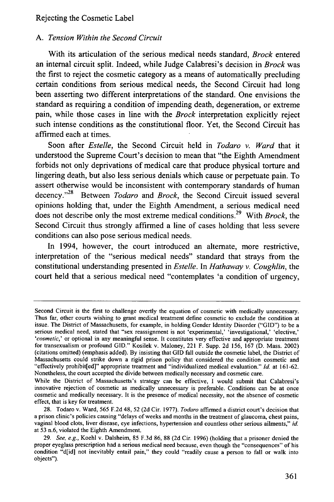#### Rejecting the Cosmetic Label

#### *A. Tension Within the Second Circuit*

With its articulation of the serious medical needs standard, *Brock* entered an internal circuit split. Indeed, while Judge Calabresi's decision in *Brock* was the first to reject the cosmetic category as a means of automatically precluding certain conditions from serious medical needs, the Second Circuit had long been asserting two different interpretations of the standard. One envisions the standard as requiring a condition of impending death, degeneration, or extreme pain, while those cases in line with the *Brock* interpretation explicitly reject such intense conditions as the constitutional floor. Yet, the Second Circuit has affirmed each at times.

Soon after *Estelle,* the Second Circuit held in *Todaro v. Ward* that it understood the Supreme Court's decision to mean that "the Eighth Amendment forbids not only deprivations of medical care that produce physical torture and lingering death, but also less serious denials which cause or perpetuate pain. To assert otherwise would be inconsistent with contemporary standards of human decency."<sup>28</sup> Between *Todaro* and *Brock*, the Second Circuit issued several opinions holding that, under the Eighth Amendment, a serious medical need does not describe only the most extreme medical conditions. 29 With *Brock,* the Second Circuit thus strongly affirmed a line of cases holding that less severe conditions can also pose serious medical needs.

In 1994, however, the court introduced an alternate, more restrictive, interpretation of the "serious medical needs" standard that strays from the constitutional understanding presented in *Estelle.* In *Hathaway v. Coughlin,* the court held that a serious medical need "contemplates 'a condition of urgency,

Second Circuit is the first to challenge overtly the equation of cosmetic with medically unnecessary. Thus far, other courts wishing to grant medical treatment define cosmetic to exclude the condition at issue. The District of Massachusetts, for example, in holding Gender Identity Disorder ("GID") to be a serious medical need, stated that "sex reassignment is not 'experimental,' 'investigational,' 'elective,' *'cosmetic,'* or optional in any meaningful sense. It constitutes very effective and appropriate treatment for transexualism or profound GID." Kosilek v. Maloney, 221 F. Supp. 2d 156, 167 (D. Mass. 2002) (citations omitted) (emphasis added). By insisting that GID fall outside the cosmetic label, the District of Massachusetts could strike down a rigid prison policy that considered the condition cosmetic and "effectively prohibit[ed]" appropriate treatment and "individualized medical evaluation." *Id.* at 161-62. Nonetheless, the court accepted the divide between medically necessary and cosmetic care.

While the District of Massachusetts's strategy can be effective, I would submit that Calabresi's innovative rejection of cosmetic as medically unnecessary is preferable. Conditions can be at once cosmetic and medically necessary. It is the presence of medical necessity, not the absence of cosmetic effect, that is key for treatment.

<sup>28.</sup> Todaro v. Ward, 565 F.2d 48, 52 (2d Cir. 1977). *Todaro* affirmed a district court's decision that a prison clinic's policies causing "delays of weeks and months in the treatment of glaucoma, chest pains, vaginal blood clots, liver disease, eye infections, hypertension and countless other serious ailments," *id.* at 53 n.6, violated the Eighth Amendment.

<sup>29.</sup> *See, e.g.,* Koehl v. Dalsheim, 85 F.3d 86, 88 (2d Cir. 1996) (holding that a prisoner denied the proper eyeglass prescription had a serious medical need because, even though the "consequences" of his condition "d[id] not inevitably entail pain," they could "readily cause a person to fall or walk into objects").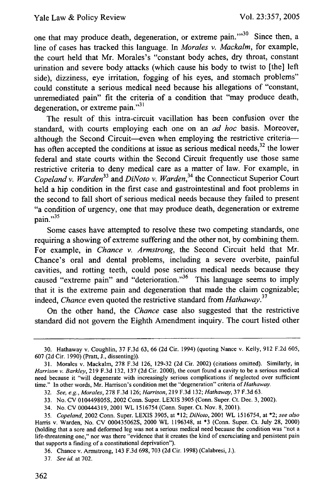one that may produce death, degeneration, or extreme pain."<sup>30</sup> Since then, a line of cases has tracked this language. In *Morales v. Mackalm,* for example, the court held that Mr. Morales's "constant body aches, dry throat, constant urination and severe body attacks (which cause his body to twist to [the] left side), dizziness, eye irritation, fogging of his eyes, and stomach problems" could constitute a serious medical need because his allegations of "constant, unremediated pain" fit the criteria of a condition that "may produce death, degeneration, or extreme pain. $^{31}$ 

The result of this intra-circuit vacillation has been confusion over the standard, with courts employing each one on an *ad hoc* basis. Moreover, although the Second Circuit-even when employing the restrictive criteriahas often accepted the conditions at issue as serious medical needs, $32$  the lower federal and state courts within the Second Circuit frequently use those same restrictive criteria to deny medical care as a matter of law. For example, in *Copeland v. Warden33* and *DiNoto v. Warden,34* the Connecticut Superior Court held a hip condition in the first case and gastrointestinal and foot problems in the second to fall short of serious medical needs because they failed to present "a condition of urgency, one that may produce death, degeneration or extreme  $\frac{u \text{ cons}}{p \text{ain}}$ ."

Some cases have attempted to resolve these two competing standards, one requiring a showing of extreme suffering and the other not, **by** combining them. For example, in *Chance v. Armstrong,* the Second Circuit held that Mr. Chance's oral and dental problems, including a severe overbite, painful cavities, and rotting teeth, could pose serious medical needs because they caused "extreme pain" and "deterioration."<sup>36</sup> This language seems to imply that it is the extreme pain and degeneration that made the claim cognizable; indeed, *Chance* even quoted the restrictive standard from *Hathaway.37*

On the other hand, the *Chance* case also suggested that the restrictive standard did not govern the Eighth Amendment inquiry. The court listed other

37. *See id.* at 702.

<sup>30.</sup> Hathaway v. Coughlin, 37 F.3d 63, 66 (2d Cit. 1994) (quoting Nance v. Kelly, 912 F.2d 605, 607 (2d Cir. 1990) (Pratt, J., dissenting)).

<sup>31.</sup> Morales v. Mackalm, 278 F.3d 126, 129-32 (2d Cir. 2002) (citations omitted). Similarly, in *Harrison v. Barkley,* 219 F.3d 132, 137 (2d Cir. 2000), the court found a cavity to be a serious medical need because it "will degenerate with increasingly serious complications if neglected over sufficient time." In other words, Mr. Harrison's condition met the "degeneration" criteria *of Hathaway.*

<sup>32.</sup> *See, e.g., Morales,* 278 F.3d 126; *Harrison,* 219 F.3d 132; *Hathaway,* 37 F.3d 63.

<sup>33.</sup> No. CV 010449805S, 2002 Conn. Super. LEXIS 3905 (Conn. Super. Ct. Dec. 3, 2002).

<sup>34.</sup> No. CV 000444319, 2001 WL 1516754 (Conn. Super. Ct. Nov. 8, 2001).

<sup>35.</sup> *Copeland,* 2002 Conn. Super. LEXIS 3905, at \*12; *DiNoto,* 2001 WL 1516754, at \*2; *see also* Harris v. Warden, No. CV 000435062S, 2000 WL 1196348, at \*3 (Conn. Super. Ct. July 28, 2000) (holding that a sore and deformed leg was not a serious medical need because the condition was "not a life-threatening one," nor was there "evidence that it creates the kind of excruciating and persistent pain that supports a finding of a constitutional deprivation").

<sup>36.</sup> Chance v. Armstrong, 143 F.3d 698, 703 (2d Cir. 1998) (Calabresi, J.).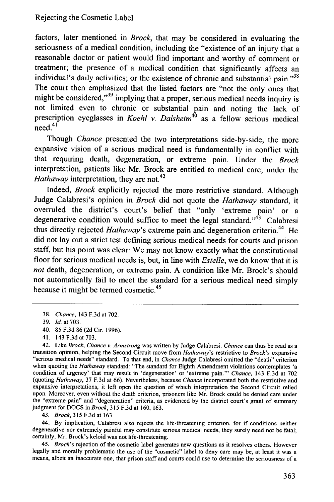### Rejecting the Cosmetic Label

factors, later mentioned in Brock, that may be considered in evaluating the seriousness of a medical condition, including the "existence of an injury that a reasonable doctor or patient would find important and worthy of comment or treatment; the presence of a medical condition that significantly affects an individual's daily activities; or the existence of chronic and substantial pain. $^{38}$ The court then emphasized that the listed factors are "not the only ones that might be considered, $^{339}$  implying that a proper, serious medical needs inquiry is not limited even to chronic or substantial pain and noting the lack of prescription eyeglasses in *Koehl v. Dalsheim40* as a fellow serious medical  $need<sup>41</sup>$ 

Though *Chance* presented the two interpretations side-by-side, the more expansive vision of a serious medical need is fundamentally in conflict with that requiring death, degeneration, or extreme pain. Under the *Brock* interpretation, patients like Mr. Brock are entitled to medical care; under the *Hathaway* interpretation, they are not.<sup>42</sup>

Indeed, *Brock* explicitly rejected the more restrictive standard. Although Judge Calabresi's opinion in *Brock* did not quote the *Hathaway* standard, it overruled the district's court's belief that "only 'extreme pain' or a degenerative condition would suffice to meet the legal standard. $1/43$  Calabresi thus directly rejected *Hathaway's* extreme pain and degeneration criteria.<sup>44</sup> He did not lay out a strict test defining serious medical needs for courts and prison staff, but his point was clear: We may not know exactly what the constitutional floor for serious medical needs is, but, in line with *Estelle,* we do know that it is *not* death, degeneration, or extreme pain. A condition like Mr. Brock's should not automatically fail to meet the standard for a serious medical need simply because it might be termed cosmetic.<sup>45</sup>

43. *Brock,* **315 F.3d** at **163.**

44. **By** implication, Calabresi also rejects the life-threatening criterion, for if conditions neither degenerative nor extremely painful may constitute serious medical needs, they surely need not be fatal; certainly, Mr. Brock's keloid was not life-threatening.

45. *Brock's* rejection of the cosmetic label generates new questions as it resolves others. However legally and morally problematic the use of the "cosmetic" label to deny care may be, at least it was a means, albeit an inaccurate one, that prison staff and courts could use to determine the seriousness of a

<sup>38.</sup> Chance, 143 F.3d at 702.

<sup>39.</sup> Id. at 703.

<sup>40. 85</sup> F.3d 86 (2d Cir. 1996).

<sup>41. 143</sup> F.3d at 703.

<sup>42.</sup> Like Brock, Chance v. Armstrong was written by Judge Calabresi. Chance can thus be read as a transition opinion, helping the Second Circuit move from Hathaway's restrictive to Brock's expansive "serious medical needs" when quoting the Hathaway standard: "The standard for Eighth Amendment violations contemplates 'a condition of urgency' that may result in 'degeneration' or 'extreme pain."' *Chance,* 143 **F.3d** at **702** (quoting *Hathaway,* **37 F.3d** at **66).** Nevertheless, because *Chance* incorporated both the restrictive and expansive interpretations, it left open the question of which interpretation the Second Circuit relied upon. Moreover, even without the death criterion, prisoners like Mr. Brock could be denied care under the "extreme pain" and "degeneration" criteria, as evidenced **by** the district court's grant of summary judgment for **DOCS** in *Brock,* **315 F.3d** at **160, 163.**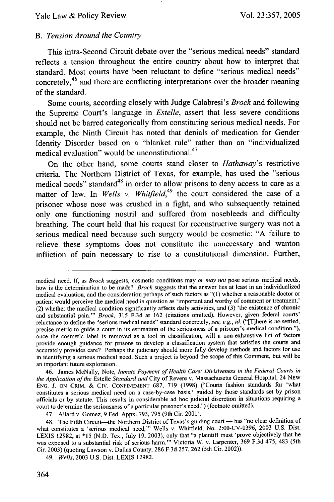### Yale Law & Policy Review Vol. 23:357, 2005

#### *B. Tension Around the Country*

This intra-Second Circuit debate over the "serious medical needs" standard reflects a tension throughout the entire country about how to interpret that standard. Most courts have been reluctant to define "serious medical needs" concretely,<sup>46</sup> and there are conflicting interpretations over the broader meaning of the standard.

Some courts, according closely with Judge Calabresi's *Brock* and following the Supreme Court's language in *Estelle,* assert that less severe conditions should not be barred categorically from constituting serious medical needs. For example, the Ninth Circuit has noted that denials of medication for Gender Identity Disorder based on a "blanket rule" rather than an "individualized medical evaluation" would be unconstitutional.<sup>47</sup>

On the other hand, some courts stand closer to *Hathaway's* restrictive criteria. The Northern District of Texas, for example, has used the "serious medical needs" standard<sup>48</sup> in order to allow prisons to deny access to care as a matter of law. In *Wells v. Whitfield*,<sup>49</sup> the court considered the case of a prisoner whose nose was crushed in a fight, and who subsequently retained only one functioning nostril and suffered from nosebleeds and difficulty breathing. The court held that his request for reconstructive surgery was not a serious medical need because such surgery would be cosmetic: **"A** failure to relieve these symptoms does not constitute the unnecessary and wanton infliction of pain necessary to rise to a constitutional dimension. Further,

46. James McNally, Note, *Inmate Payment of Health Care: Divisiveness in the Federal Courts in* the *Application of the* Estelle *Standard and* City of Revere v. Massachusetts General Hospital, 24 NEW ENG. **J. ON** CRIM. & CIV. CONFINEMENT 687, 719 (1998) ("Courts fashion standards for 'what constitutes a serious medical need on a case-by-case basis,' guided by those standards set by prison officials or by statute. This results in considerable ad hoc judicial discretion in situations requiring a court to determine the seriousness of a particular prisoner's need.") (footnote omitted).

49. *Wells,* 2003 U.S. Dist. LEXIS 12982.

medical need. If, as *Brock* suggests, cosmetic conditions may *or may not* pose serious medical needs, how is the determination to be made? *Brock* suggests that the answer lies at least in an individualized medical evaluation, and the consideration perhaps of such factors as "(1) whether a reasonable doctor or patient would perceive the medical need in question as 'important and worthy of comment or treatment,' (2) whether the medical condition significantly affects daily activities, and (3) 'the existence of chronic and substantial pain."' *Brock,* 315 F.3d at 162 (citations omitted). However, given federal courts' reluctance to define the "serious medical needs" standard concretely, *see, e.g.,* id. ("[Tlhere is no settled, precise metric to guide a court in its estimation of the seriousness of a prisoner's medical condition."), once the cosmetic label is removed as a tool in classification, will a non-exhaustive list of factors provide enough guidance for prisons to develop a classification system that satisfies the courts and accurately provides care? Perhaps the judiciary should more fully develop methods and factors for use in identifying a serious medical need. Such a project is beyond the scope of this Comment, but will be an important future exploration.

<sup>47.</sup> Allard v. Gomez, 9 Fed. Appx. 793, 795 (9th Cir. 2001).

<sup>48.</sup> The Fifth Circuit-the Northern District of Texas's guiding court - has "no clear definition of what constitutes a 'serious medical need,"' Wells v. Whitfield, No. 2:00-CV-0396, 2003 U.S. Dist. LEXIS 12982, at \*15 (N.D. Tex., July 19, 2003), only that "a plaintiff must 'prove objectively that he was exposed to a substantial risk of serious harm."' Victoria W. v. Larpenter, 369 F.3d 475, 483 (5th Cir. 2003) (quoting Lawson v. Dallas County, 286 F.3d 257, 262 (5th Cir. 2002)).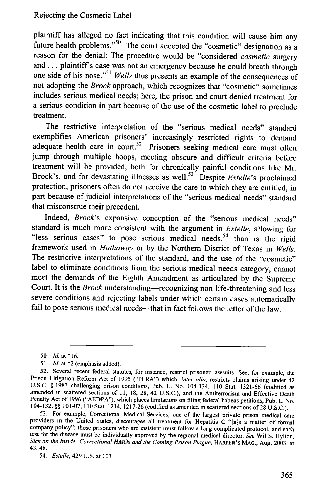### Rejecting the Cosmetic Label

plaintiff has alleged no fact indicating that this condition will cause him any future health problems."<sup>50</sup> The court accepted the "cosmetic" designation as a reason for the denial: The procedure would be "considered *cosmetic* surgery and **...** plaintiffs case was not an emergency because he could breath through one side of his nose."<sup>51</sup> Wells thus presents an example of the consequences of not adopting the *Brock* approach, which recognizes that "cosmetic" sometimes includes serious medical needs; here, the prison and court denied treatment for a serious condition in part because of the use of the cosmetic label to preclude treatment.

The restrictive interpretation of the "serious medical needs" standard exemplifies American prisoners' increasingly restricted rights to demand adequate health care in court.<sup>52</sup> Prisoners seeking medical care must often jump through multiple hoops, meeting obscure and difficult criteria before treatment will be provided, both for chronically painful conditions like Mr. Brock's, and for devastating illnesses as well.<sup>53</sup> Despite *Estelle's* proclaimed protection, prisoners often do not receive the care to which they are entitled, in part because of judicial interpretations of the "serious medical needs" standard that misconstrue their precedent.

Indeed, *Brock's* expansive conception of the "serious medical needs" standard is much more consistent with the argument in *Estelle,* allowing for "less serious cases" to pose serious medical needs,<sup>54</sup> than is the rigid framework used in *Hathaway* or by the Northern District of Texas in *Wells.* The restrictive interpretations of the standard, and the use of the "cosmetic" label to eliminate conditions from the serious medical needs category, cannot meet the demands of the Eighth Amendment as articulated by the Supreme Court. It is the *Brock* understanding-recognizing non-life-threatening and less severe conditions and rejecting labels under which certain cases automatically fail to pose serious medical needs—that in fact follows the letter of the law.

*<sup>50.</sup>* Id. at \*16.

*<sup>51.</sup>* Id. at \*2 (emphasis added).

<sup>52.</sup> Several recent federal statutes, for instance, restrict prisoner lawsuits. See, for example, the Prison Litigation Reform Act of 1995 ("PLRA") which, *inter alia,* restricts claims arising under 42 U.S.C. **§** 1983 challenging prison conditions, Pub. L. No. 104-134, 110 Stat. 1321-66 (codified as amended in scattered sections of **11,** 18, 28, 42 U.S.C.), and the Antiterrorism and Effective Death Penalty Act of 1996 ("AEDPA"), which places limitations on filing federal habeas petitions, Pub. L. No. 104-132, §§ 101-07, 110 Stat. 1214, 1217-26 (codified as amended in scattered sections of 28 U.S.C.).

<sup>53.</sup> For example, Correctional Medical Services, one of the largest private prison medical care providers in the United States, discourages all treatment for Hepatitis C "[a]s a matter of formal company policy"; those prisoners who are insistent must follow a long complicated protocol, and each test for the disease must be individually approved by the regional medical director. *See* Wil S. Hylton, Sick *on the Inside: Correctional HMOs and the Coming Prison Plague,* HARPER'S **MAG.,** Aug. 2003, at 43, 48.

<sup>54.</sup> *Estelle,* 429 U.S. at 103.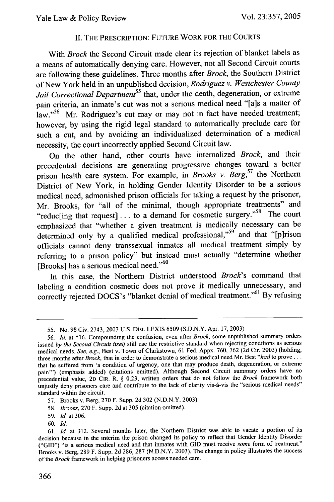## II. THE PRESCRIPTION: FUTURE WORK FOR THE COURTS

With Brock the Second Circuit made clear its rejection of blanket labels as a means of automatically denying care. However, not all Second Circuit courts are following these guidelines. Three months after *Brock,* the Southern District of New York held in an unpublished decision, *Rodriguez v. Westchester County Jail Correctional Department*<sup>55</sup> that, under the death, degeneration, or extreme pain criteria, an inmate's cut was not a serious medical need "[a]s a matter of law."<sup>56</sup> Mr. Rodriguez's cut may or may not in fact have needed treatment; however, **by** using the rigid legal standard to automatically preclude care for such a cut, and **by** avoiding an individualized determination of a medical necessity, the court incorrectly applied Second Circuit law.

On the other hand, other courts have internalized *Brock,* and their precedential decisions are generating progressive changes toward a better prison health care system. For example, in *Brooks v. Berg,57* the Northern District of New York, in holding Gender Identity Disorder to be a serious medical need, admonished prison officials for taking a request **by** the prisoner, Mr. Brooks, for "all of the minimal, though appropriate treatments" and "reduc[ing that request] . . . to a demand for cosmetic surgery."<sup>58</sup> The court emphasized that "whether a given treatment is medically necessary can be determined only by a qualified medical professional,"<sup>59</sup> and that "[p]rison officials cannot deny transsexual inmates all medical treatment simply **by** referring to a prison policy" but instead must actually "determine whether [Brooks] has a serious medical need."<sup>60</sup>

In this case, the Northern District understood *Brock's* command that labeling a condition cosmetic does not prove it medically unnecessary, and correctly rejected DOCS's "blanket denial of medical treatment."<sup>61</sup> By refusing

57. Brooks v. Berg, 270 F. Supp. 2d 302 (N.D.N.Y. 2003).

- 58. *Brooks,* 270 F. Supp. 2d at **305** (citation omitted).
- 59. *Id.* at 306.
- 60. *Id.*

**<sup>55.</sup>** No. 98 Civ. 2743, 2003 U.S. Dist. LEXIS 6509 (S.D.N.Y. Apr. 17, 2003).

<sup>56.</sup> *Id.* at \*16. Compounding the confusion, even after *Brock,* some unpublished summary orders issued *by the Second Circuit itself* still use the restrictive standard when rejecting conditions as serious medical needs. *See, e.g.,* Best v. Town of Clarkstown, 61 Fed. Appx. 760, 762 (2d Cir. 2003) (holding, three months after *Brock,* that in order to demonstrate a serious medical need Mr. Best *"had* to prove... that he suffered from 'a condition of urgency, one that may produce death, degeneration, or extreme pain'") (emphasis added) (citations omitted). Although Second Circuit summary orders have no precedential value, 2D CIR. R. § 0.23, written orders that do not follow the *Brock* framework both unjustly deny prisoners care and contribute to the lack of clarity vis-á-vis the "serious medical needs" standard within the circuit.

<sup>61.</sup> *Id.* at 312. Several months later, the Northern District was able to vacate a portion of its decision because in the interim the prison changed its policy to reflect that Gender Identity Disorder ("GID") "is a serious medical need and that inmates with **GID** must receive *some* form of treatment." Brooks v. Berg, 289 F. Supp. 2d 286, 287 (N.D.N.Y. 2003). The change in policy illustrates the success of the *Brock* framework in helping prisoners access needed care.